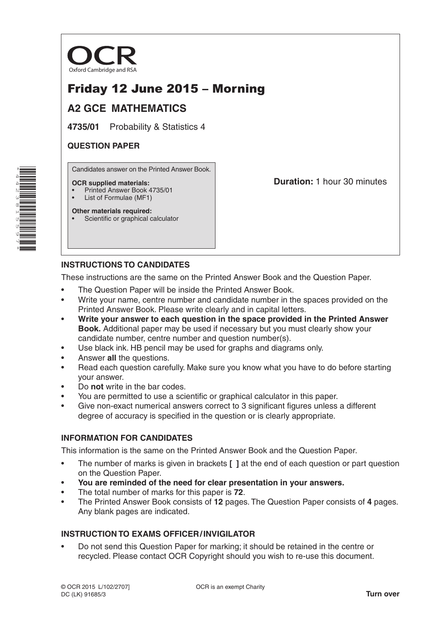

# Friday 12 June 2015 – Morning

## **A2 GCE MATHEMATICS**

**4735/01** Probability & Statistics 4

### **QUESTION PAPER**

Candidates answer on the Printed Answer Book.

#### **OCR supplied materials:**

- Printed Answer Book 4735/01
- List of Formulae (MF1)

**Duration:** 1 hour 30 minutes

#### **Other materials required:** • Scientific or graphical calculator

## **INSTRUCTIONS TO CANDIDATES**

These instructions are the same on the Printed Answer Book and the Question Paper.

- The Question Paper will be inside the Printed Answer Book.
- Write your name, centre number and candidate number in the spaces provided on the Printed Answer Book. Please write clearly and in capital letters.
- **Write your answer to each question in the space provided in the Printed Answer Book.** Additional paper may be used if necessary but you must clearly show your candidate number, centre number and question number(s).
- Use black ink. HB pencil may be used for graphs and diagrams only.
- Answer **all** the questions.
- Read each question carefully. Make sure you know what you have to do before starting your answer.
- Do **not** write in the bar codes.
- You are permitted to use a scientific or graphical calculator in this paper.
- Give non-exact numerical answers correct to 3 significant figures unless a different degree of accuracy is specified in the question or is clearly appropriate.

### **INFORMATION FOR CANDIDATES**

This information is the same on the Printed Answer Book and the Question Paper.

- The number of marks is given in brackets **[ ]** at the end of each question or part question on the Question Paper.
- **You are reminded of the need for clear presentation in your answers.**
- The total number of marks for this paper is **72**.
- The Printed Answer Book consists of **12** pages. The Question Paper consists of **4** pages. Any blank pages are indicated.

### **INSTRUCTION TO EXAMS OFFICER/INVIGILATOR**

• Do not send this Question Paper for marking; it should be retained in the centre or recycled. Please contact OCR Copyright should you wish to re-use this document.

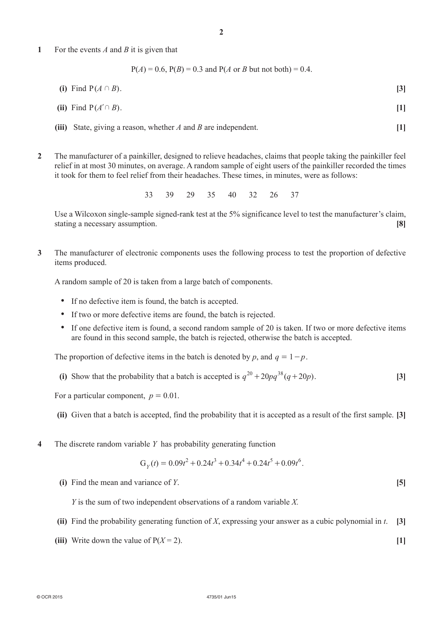**1**  For the events *A* and *B* it is given that

 $P(A) = 0.6$ ,  $P(B) = 0.3$  and  $P(A \text{ or } B \text{ but not both}) = 0.4$ .

**(i)** Find  $P(A \cap B)$ . **[3]** 

(ii) Find 
$$
P(A' \cap B)
$$
.

- *(iii)* State, giving a reason, whether *A* and *B* are independent. **[1]**
- **2**  The manufacturer of a painkiller, designed to relieve headaches, claims that people taking the painkiller feel relief in at most 30 minutes, on average. A random sample of eight users of the painkiller recorded the times it took for them to feel relief from their headaches. These times, in minutes, were as follows:

33 39 29 35 40 32 26 37

Use a Wilcoxon single-sample signed-rank test at the 5% significance level to test the manufacturer's claim, stating a necessary assumption. **[8]**

**3**  The manufacturer of electronic components uses the following process to test the proportion of defective items produced.

A random sample of 20 is taken from a large batch of components.

- If no defective item is found, the batch is accepted.
- If two or more defective items are found, the batch is rejected.
- If one defective item is found, a second random sample of 20 is taken. If two or more defective items are found in this second sample, the batch is rejected, otherwise the batch is accepted.

The proportion of defective items in the batch is denoted by *p*, and  $q = 1 - p$ .

(i) Show that the probability that a batch is accepted is  $q^{20} + 20pq^{38} (q + 20p)$ . [3]

For a particular component,  $p = 0.01$ .

- **(ii)** Given that a batch is accepted, find the probability that it is accepted as a result of the first sample. **[3]**
- **4**  The discrete random variable *Y* has probability generating function

$$
G_Y(t) = 0.09t^2 + 0.24t^3 + 0.34t^4 + 0.24t^5 + 0.09t^6.
$$

**(i)** Find the mean and variance of *Y*.  $[5]$ 

 *Y* is the sum of two independent observations of a random variable *X.*

- **(ii)** Find the probability generating function of *X*, expressing your answer as a cubic polynomial in *t*. **[3]**
- (iii) Write down the value of  $P(X = 2)$ . [1]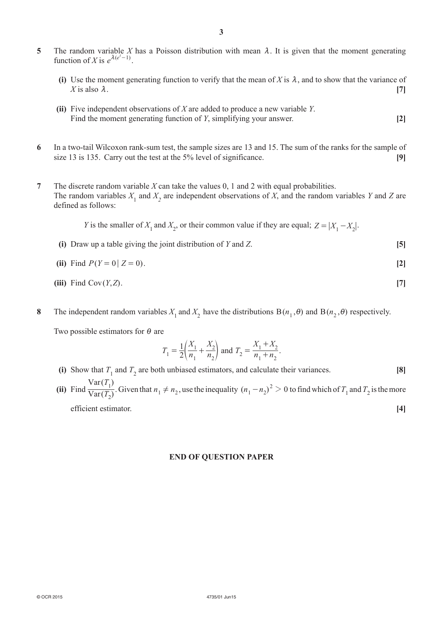- **5** The random variable *X* has a Poisson distribution with mean  $\lambda$ . It is given that the moment generating function of *X* is  $e^{\lambda(e^t-1)}$ .
	- **(i)** Use the moment generating function to verify that the mean of *X* is  $\lambda$ , and to show that the variance of *X* is also  $\lambda$ . [7]
	- **(ii)** Five independent observations of *X* are added to produce a new variable *Y*. Find the moment generating function of *Y*, simplifying your answer. **[2]**
- **6**  In a two-tail Wilcoxon rank-sum test, the sample sizes are 13 and 15. The sum of the ranks for the sample of size 13 is 135. Carry out the test at the 5% level of significance. **[9]**
- **7**  The discrete random variable *X* can take the values 0, 1 and 2 with equal probabilities. The random variables  $X_1$  and  $X_2$  are independent observations of *X*, and the random variables *Y* and *Z* are defined as follows:

*Y* is the smaller of  $X_1$  and  $X_2$ , or their common value if they are equal;  $Z = |X_1 - X_2|$ .

- **(i)**  Draw up a table giving the joint distribution of *Y* and *Z*. **[5]**
- **(ii)** Find  $P(Y = 0 | Z = 0)$ . [2]
- $(iii)$  Find Cov $(Y, Z)$ . [7]
- **8** The independent random variables  $X_1$  and  $X_2$  have the distributions  $B(n_1, \theta)$  and  $B(n_2, \theta)$  respectively.

Two possible estimators for  $\theta$  are

$$
T_1 = \frac{1}{2} \left( \frac{X_1}{n_1} + \frac{X_2}{n_2} \right)
$$
 and  $T_2 = \frac{X_1 + X_2}{n_1 + n_2}$ .

- **(i)** Show that  $T_1$  and  $T_2$  are both unbiased estimators, and calculate their variances. **[8] (ii)** Find  $\frac{1}{\text{Var}(T_2)}$  $(T_1)$ Var *T* <sup>1</sup>/<sub>2</sub>. Given that  $n_1 \neq n_2$ , use the inequality  $(n_1 - n_2)^2 > 0$  to find which of  $T_1$  and  $T_2$  is the more
	- Var *T*  **efficient estimator. [4]**

#### **END of quEstioN papEr**